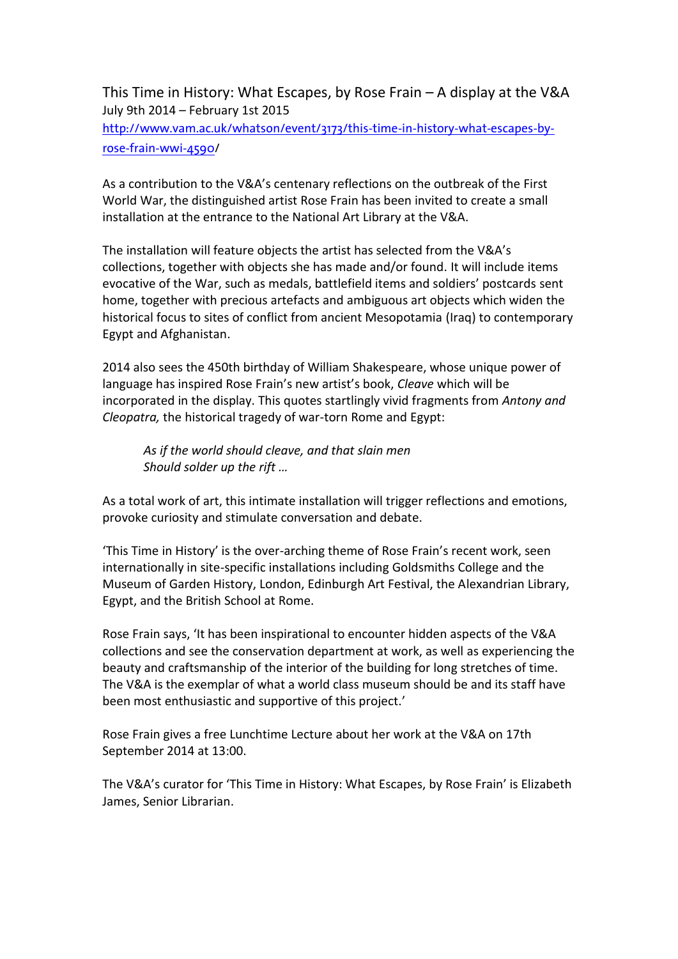This Time in History: What Escapes, by Rose Frain – A display at the V&A July 9th 2014 – February 1st 2015 [http://www.vam.ac.uk/whatson/event/3173/this-time-in-history-what-escapes-by](http://www.vam.ac.uk/whatson/event/3173/this-time-in-history-what-escapes-by-rose-frain-wwi-4590)[rose-frain-wwi-4590/](http://www.vam.ac.uk/whatson/event/3173/this-time-in-history-what-escapes-by-rose-frain-wwi-4590)

As a contribution to the V&A's centenary reflections on the outbreak of the First World War, the distinguished artist Rose Frain has been invited to create a small installation at the entrance to the National Art Library at the V&A.

The installation will feature objects the artist has selected from the V&A's collections, together with objects she has made and/or found. It will include items evocative of the War, such as medals, battlefield items and soldiers' postcards sent home, together with precious artefacts and ambiguous art objects which widen the historical focus to sites of conflict from ancient Mesopotamia (Iraq) to contemporary Egypt and Afghanistan.

2014 also sees the 450th birthday of William Shakespeare, whose unique power of language has inspired Rose Frain's new artist's book, *Cleave* which will be incorporated in the display. This quotes startlingly vivid fragments from *Antony and Cleopatra,* the historical tragedy of war-torn Rome and Egypt:

*As if the world should cleave, and that slain men Should solder up the rift …*

As a total work of art, this intimate installation will trigger reflections and emotions, provoke curiosity and stimulate conversation and debate.

'This Time in History' is the over-arching theme of Rose Frain's recent work, seen internationally in site-specific installations including Goldsmiths College and the Museum of Garden History, London, Edinburgh Art Festival, the Alexandrian Library, Egypt, and the British School at Rome.

Rose Frain says, 'It has been inspirational to encounter hidden aspects of the V&A collections and see the conservation department at work, as well as experiencing the beauty and craftsmanship of the interior of the building for long stretches of time. The V&A is the exemplar of what a world class museum should be and its staff have been most enthusiastic and supportive of this project.'

Rose Frain gives a free Lunchtime Lecture about her work at the V&A on 17th September 2014 at 13:00.

The V&A's curator for 'This Time in History: What Escapes, by Rose Frain' is Elizabeth James, Senior Librarian.